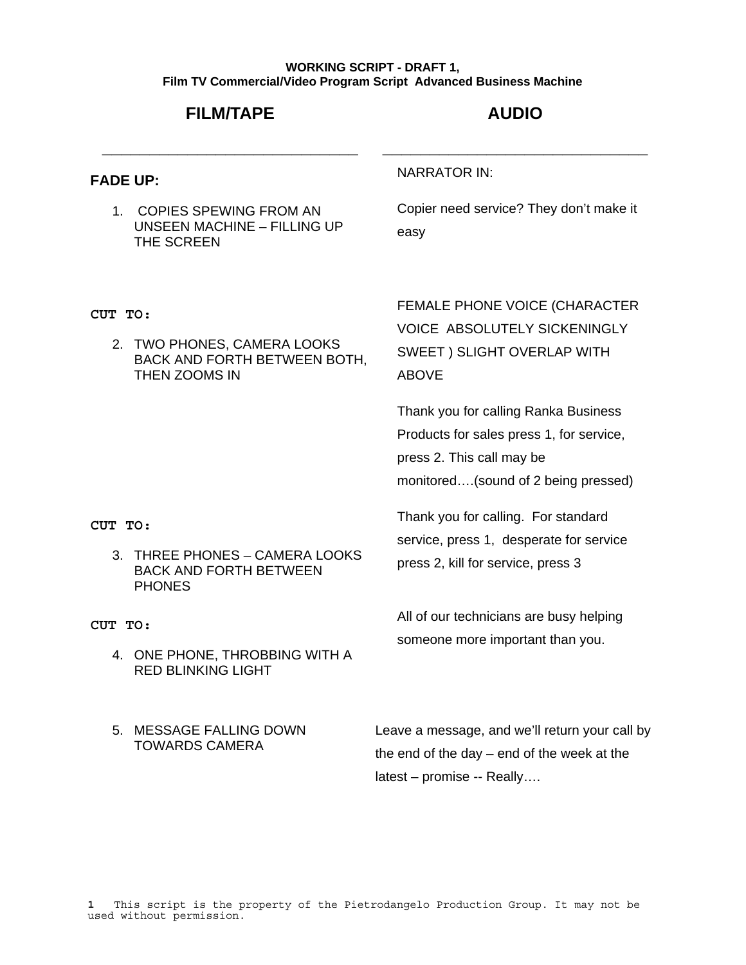### **WORKING SCRIPT - DRAFT 1, Film TV Commercial/Video Program Script Advanced Business Machine**

## **FILM/TAPE**

**\_\_\_\_\_\_\_\_\_\_\_\_\_\_\_\_\_\_\_\_\_\_\_\_\_\_\_** 

# **AUDIO**

**\_\_\_\_\_\_\_\_\_\_\_\_\_\_\_\_\_\_\_\_\_\_\_\_\_\_\_\_** 

### **FADE UP:**

1. COPIES SPEWING FROM AN UNSEEN MACHINE – FILLING UP THE SCREEN

### NARRATOR IN:

Copier need service? They don't make it easy

**CUT TO:** 

2. TWO PHONES, CAMERA LOOKS BACK AND FORTH BETWEEN BOTH, THEN ZOOMS IN

FEMALE PHONE VOICE (CHARACTER VOICE ABSOLUTELY SICKENINGLY SWEET ) SLIGHT OVERLAP WITH ABOVE

Thank you for calling Ranka Business Products for sales press 1, for service, press 2. This call may be monitored….(sound of 2 being pressed)

Thank you for calling. For standard

press 2, kill for service, press 3

service, press 1, desperate for service

**CUT TO:** 

3. THREE PHONES – CAMERA LOOKS BACK AND FORTH BETWEEN **PHONES** 

**CUT TO:** 

- 4. ONE PHONE, THROBBING WITH A RED BLINKING LIGHT
- 5. MESSAGE FALLING DOWN TOWARDS CAMERA

All of our technicians are busy helping someone more important than you.

Leave a message, and we'll return your call by the end of the day – end of the week at the latest – promise -- Really….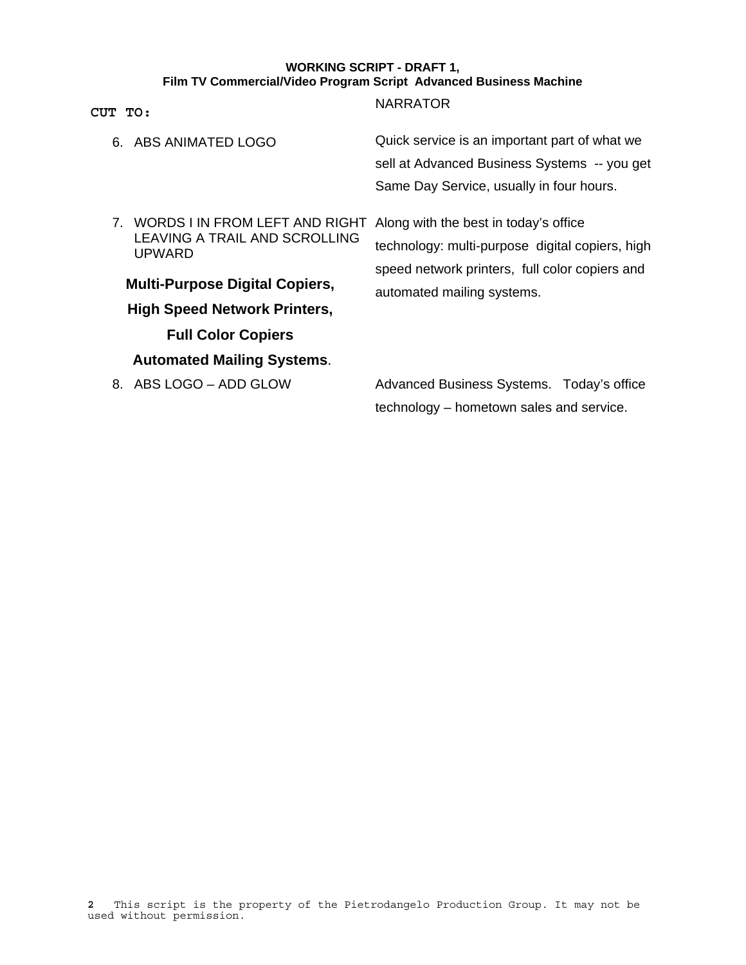### **WORKING SCRIPT - DRAFT 1, Film TV Commercial/Video Program Script Advanced Business Machine**

| CUT TO:                                                                                                                                                                                                                        | <b>NARRATOR</b>                                                                                                                                                          |
|--------------------------------------------------------------------------------------------------------------------------------------------------------------------------------------------------------------------------------|--------------------------------------------------------------------------------------------------------------------------------------------------------------------------|
| 6. ABS ANIMATED LOGO                                                                                                                                                                                                           | Quick service is an important part of what we<br>sell at Advanced Business Systems -- you get<br>Same Day Service, usually in four hours.                                |
| 7. WORDS I IN FROM LEFT AND RIGHT<br>LEAVING A TRAIL AND SCROLLING<br>UPWARD<br><b>Multi-Purpose Digital Copiers,</b><br><b>High Speed Network Printers,</b><br><b>Full Color Copiers</b><br><b>Automated Mailing Systems.</b> | Along with the best in today's office<br>technology: multi-purpose digital copiers, high<br>speed network printers, full color copiers and<br>automated mailing systems. |
| 8. ABS LOGO - ADD GLOW                                                                                                                                                                                                         | Advanced Business Systems. Today's office<br>technology – hometown sales and service.                                                                                    |